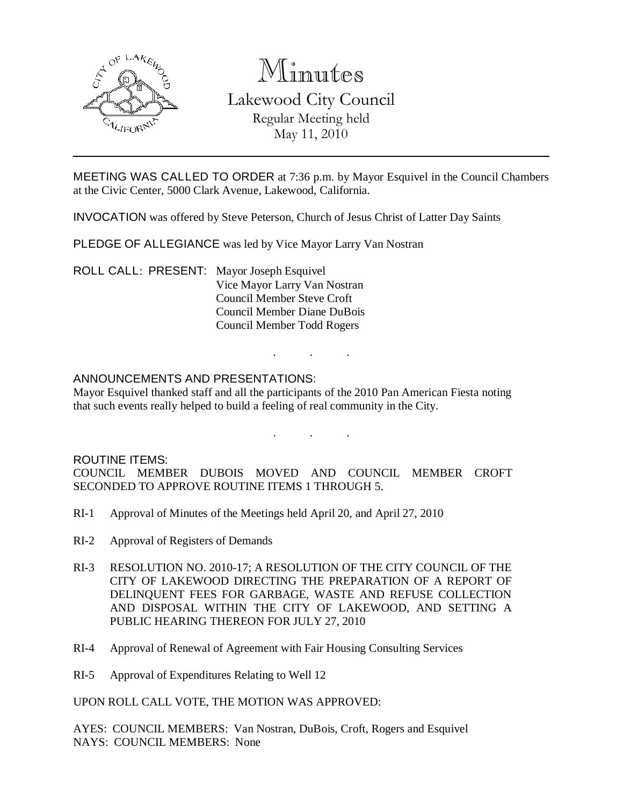

# Minutes

Lakewood City Council Regular Meeting held May 11, 2010

MEETING WAS CALLED TO ORDER at 7:36 p.m. by Mayor Esquivel in the Council Chambers at the Civic Center, 5000 Clark Avenue, Lakewood, California.

INVOCATION was offered by Steve Peterson, Church of Jesus Christ of Latter Day Saints

PLEDGE OF ALLEGIANCE was led by Vice Mayor Larry Van Nostran

ROLL CALL: PRESENT: Mayor Joseph Esquivel Vice Mayor Larry Van Nostran Council Member Steve Croft Council Member Diane DuBois Council Member Todd Rogers

## ANNOUNCEMENTS AND PRESENTATIONS:

Mayor Esquivel thanked staff and all the participants of the 2010 Pan American Fiesta noting that such events really helped to build a feeling of real community in the City.

. . .

. . .

#### ROUTINE ITEMS:

COUNCIL MEMBER DUBOIS MOVED AND COUNCIL MEMBER CROFT SECONDED TO APPROVE ROUTINE ITEMS 1 THROUGH 5.

- RI-1 Approval of Minutes of the Meetings held April 20, and April 27, 2010
- RI-2 Approval of Registers of Demands
- RI-3 RESOLUTION NO. 2010-17; A RESOLUTION OF THE CITY COUNCIL OF THE CITY OF LAKEWOOD DIRECTING THE PREPARATION OF A REPORT OF DELINQUENT FEES FOR GARBAGE, WASTE AND REFUSE COLLECTION AND DISPOSAL WITHIN THE CITY OF LAKEWOOD, AND SETTING A PUBLIC HEARING THEREON FOR JULY 27, 2010
- RI-4 Approval of Renewal of Agreement with Fair Housing Consulting Services
- RI-5 Approval of Expenditures Relating to Well 12

UPON ROLL CALL VOTE, THE MOTION WAS APPROVED:

AYES: COUNCIL MEMBERS: Van Nostran, DuBois, Croft, Rogers and Esquivel NAYS: COUNCIL MEMBERS: None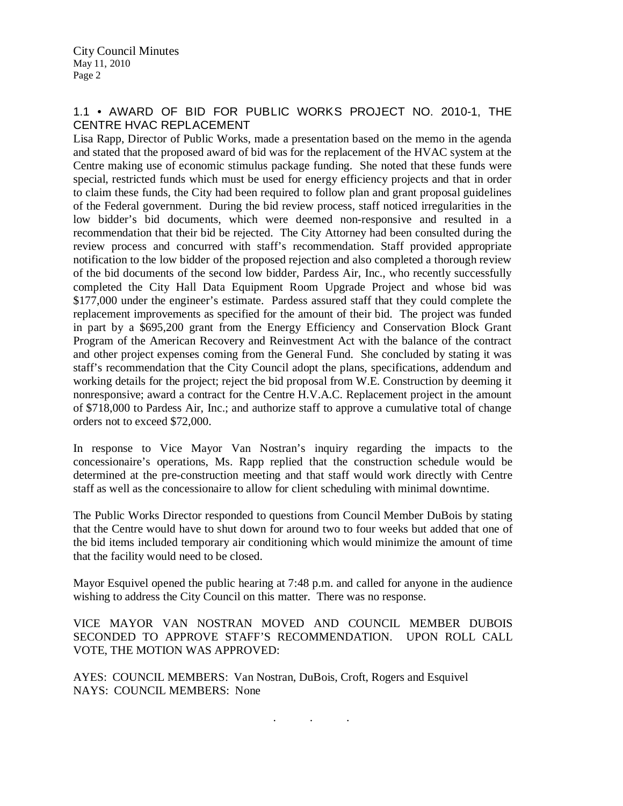## 1.1 • AWARD OF BID FOR PUBLIC WORKS PROJECT NO. 2010-1, THE CENTRE HVAC REPLACEMENT

Lisa Rapp, Director of Public Works, made a presentation based on the memo in the agenda and stated that the proposed award of bid was for the replacement of the HVAC system at the Centre making use of economic stimulus package funding. She noted that these funds were special, restricted funds which must be used for energy efficiency projects and that in order to claim these funds, the City had been required to follow plan and grant proposal guidelines of the Federal government. During the bid review process, staff noticed irregularities in the low bidder's bid documents, which were deemed non-responsive and resulted in a recommendation that their bid be rejected. The City Attorney had been consulted during the review process and concurred with staff's recommendation. Staff provided appropriate notification to the low bidder of the proposed rejection and also completed a thorough review of the bid documents of the second low bidder, Pardess Air, Inc., who recently successfully completed the City Hall Data Equipment Room Upgrade Project and whose bid was \$177,000 under the engineer's estimate. Pardess assured staff that they could complete the replacement improvements as specified for the amount of their bid. The project was funded in part by a \$695,200 grant from the Energy Efficiency and Conservation Block Grant Program of the American Recovery and Reinvestment Act with the balance of the contract and other project expenses coming from the General Fund. She concluded by stating it was staff's recommendation that the City Council adopt the plans, specifications, addendum and working details for the project; reject the bid proposal from W.E. Construction by deeming it nonresponsive; award a contract for the Centre H.V.A.C. Replacement project in the amount of \$718,000 to Pardess Air, Inc.; and authorize staff to approve a cumulative total of change orders not to exceed \$72,000.

In response to Vice Mayor Van Nostran's inquiry regarding the impacts to the concessionaire's operations, Ms. Rapp replied that the construction schedule would be determined at the pre-construction meeting and that staff would work directly with Centre staff as well as the concessionaire to allow for client scheduling with minimal downtime.

The Public Works Director responded to questions from Council Member DuBois by stating that the Centre would have to shut down for around two to four weeks but added that one of the bid items included temporary air conditioning which would minimize the amount of time that the facility would need to be closed.

Mayor Esquivel opened the public hearing at 7:48 p.m. and called for anyone in the audience wishing to address the City Council on this matter. There was no response.

VICE MAYOR VAN NOSTRAN MOVED AND COUNCIL MEMBER DUBOIS SECONDED TO APPROVE STAFF'S RECOMMENDATION. UPON ROLL CALL VOTE, THE MOTION WAS APPROVED:

AYES: COUNCIL MEMBERS: Van Nostran, DuBois, Croft, Rogers and Esquivel NAYS: COUNCIL MEMBERS: None

. . .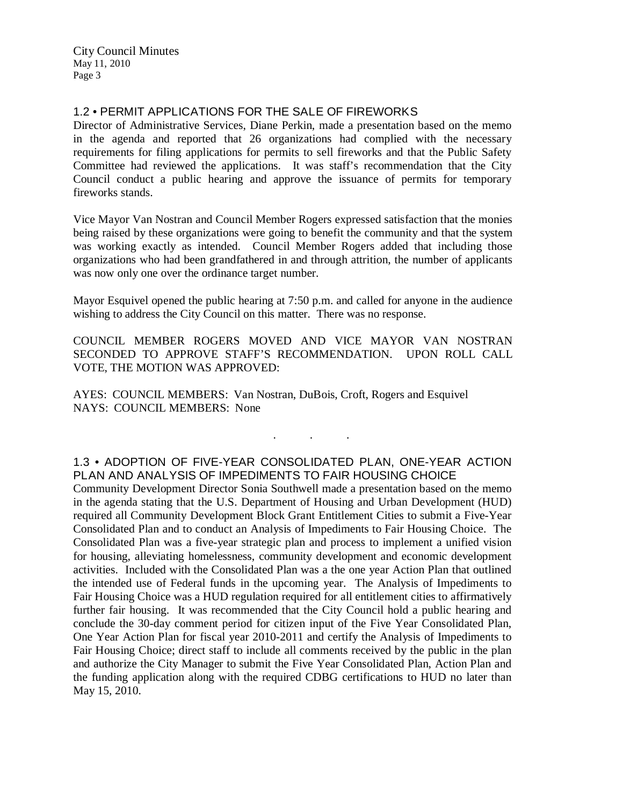## 1.2 • PERMIT APPLICATIONS FOR THE SALE OF FIREWORKS

Director of Administrative Services, Diane Perkin, made a presentation based on the memo in the agenda and reported that 26 organizations had complied with the necessary requirements for filing applications for permits to sell fireworks and that the Public Safety Committee had reviewed the applications. It was staff's recommendation that the City Council conduct a public hearing and approve the issuance of permits for temporary fireworks stands.

Vice Mayor Van Nostran and Council Member Rogers expressed satisfaction that the monies being raised by these organizations were going to benefit the community and that the system was working exactly as intended. Council Member Rogers added that including those organizations who had been grandfathered in and through attrition, the number of applicants was now only one over the ordinance target number.

Mayor Esquivel opened the public hearing at 7:50 p.m. and called for anyone in the audience wishing to address the City Council on this matter. There was no response.

COUNCIL MEMBER ROGERS MOVED AND VICE MAYOR VAN NOSTRAN SECONDED TO APPROVE STAFF'S RECOMMENDATION. UPON ROLL CALL VOTE, THE MOTION WAS APPROVED:

AYES: COUNCIL MEMBERS: Van Nostran, DuBois, Croft, Rogers and Esquivel NAYS: COUNCIL MEMBERS: None

## 1.3 • ADOPTION OF FIVE-YEAR CONSOLIDATED PLAN, ONE-YEAR ACTION PLAN AND ANALYSIS OF IMPEDIMENTS TO FAIR HOUSING CHOICE

. . .

Community Development Director Sonia Southwell made a presentation based on the memo in the agenda stating that the U.S. Department of Housing and Urban Development (HUD) required all Community Development Block Grant Entitlement Cities to submit a Five-Year Consolidated Plan and to conduct an Analysis of Impediments to Fair Housing Choice. The Consolidated Plan was a five-year strategic plan and process to implement a unified vision for housing, alleviating homelessness, community development and economic development activities. Included with the Consolidated Plan was a the one year Action Plan that outlined the intended use of Federal funds in the upcoming year. The Analysis of Impediments to Fair Housing Choice was a HUD regulation required for all entitlement cities to affirmatively further fair housing. It was recommended that the City Council hold a public hearing and conclude the 30-day comment period for citizen input of the Five Year Consolidated Plan, One Year Action Plan for fiscal year 2010-2011 and certify the Analysis of Impediments to Fair Housing Choice; direct staff to include all comments received by the public in the plan and authorize the City Manager to submit the Five Year Consolidated Plan, Action Plan and the funding application along with the required CDBG certifications to HUD no later than May 15, 2010.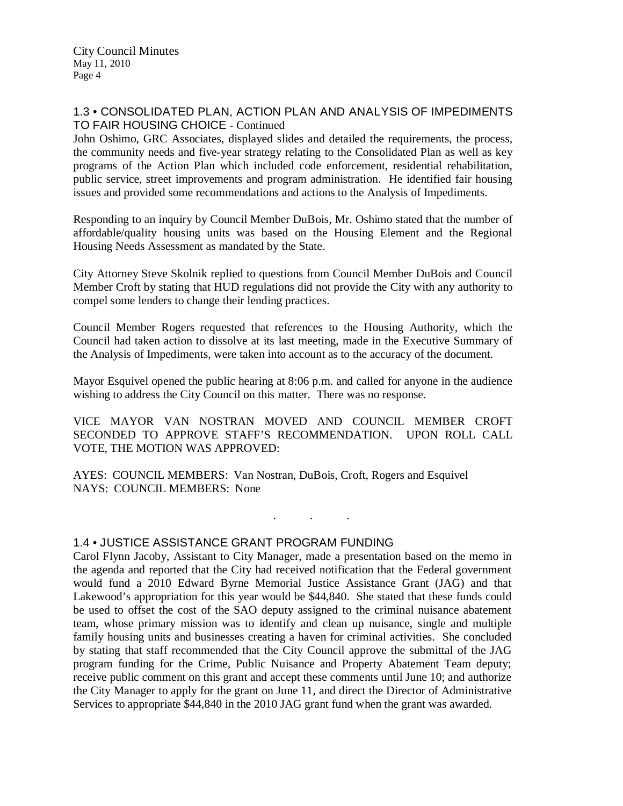#### 1.3 • CONSOLIDATED PLAN, ACTION PLAN AND ANALYSIS OF IMPEDIMENTS TO FAIR HOUSING CHOICE - Continued

John Oshimo, GRC Associates, displayed slides and detailed the requirements, the process, the community needs and five-year strategy relating to the Consolidated Plan as well as key programs of the Action Plan which included code enforcement, residential rehabilitation, public service, street improvements and program administration. He identified fair housing issues and provided some recommendations and actions to the Analysis of Impediments.

Responding to an inquiry by Council Member DuBois, Mr. Oshimo stated that the number of affordable/quality housing units was based on the Housing Element and the Regional Housing Needs Assessment as mandated by the State.

City Attorney Steve Skolnik replied to questions from Council Member DuBois and Council Member Croft by stating that HUD regulations did not provide the City with any authority to compel some lenders to change their lending practices.

Council Member Rogers requested that references to the Housing Authority, which the Council had taken action to dissolve at its last meeting, made in the Executive Summary of the Analysis of Impediments, were taken into account as to the accuracy of the document.

Mayor Esquivel opened the public hearing at 8:06 p.m. and called for anyone in the audience wishing to address the City Council on this matter. There was no response.

VICE MAYOR VAN NOSTRAN MOVED AND COUNCIL MEMBER CROFT SECONDED TO APPROVE STAFF'S RECOMMENDATION. UPON ROLL CALL VOTE, THE MOTION WAS APPROVED:

. . .

AYES: COUNCIL MEMBERS: Van Nostran, DuBois, Croft, Rogers and Esquivel NAYS: COUNCIL MEMBERS: None

1.4 • JUSTICE ASSISTANCE GRANT PROGRAM FUNDING

Carol Flynn Jacoby, Assistant to City Manager, made a presentation based on the memo in the agenda and reported that the City had received notification that the Federal government would fund a 2010 Edward Byrne Memorial Justice Assistance Grant (JAG) and that Lakewood's appropriation for this year would be \$44,840. She stated that these funds could be used to offset the cost of the SAO deputy assigned to the criminal nuisance abatement team, whose primary mission was to identify and clean up nuisance, single and multiple family housing units and businesses creating a haven for criminal activities. She concluded by stating that staff recommended that the City Council approve the submittal of the JAG program funding for the Crime, Public Nuisance and Property Abatement Team deputy; receive public comment on this grant and accept these comments until June 10; and authorize the City Manager to apply for the grant on June 11, and direct the Director of Administrative Services to appropriate \$44,840 in the 2010 JAG grant fund when the grant was awarded.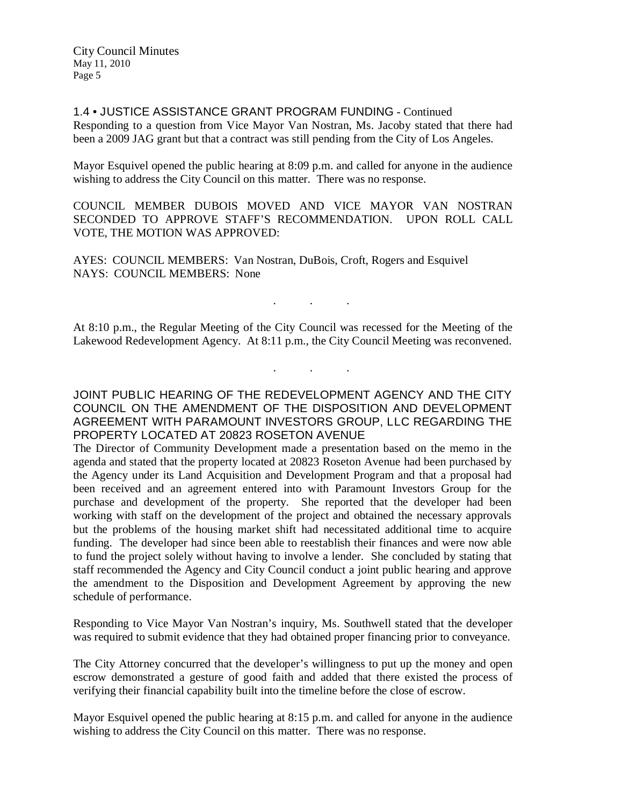1.4 • JUSTICE ASSISTANCE GRANT PROGRAM FUNDING - Continued Responding to a question from Vice Mayor Van Nostran, Ms. Jacoby stated that there had been a 2009 JAG grant but that a contract was still pending from the City of Los Angeles.

Mayor Esquivel opened the public hearing at 8:09 p.m. and called for anyone in the audience wishing to address the City Council on this matter. There was no response.

COUNCIL MEMBER DUBOIS MOVED AND VICE MAYOR VAN NOSTRAN SECONDED TO APPROVE STAFF'S RECOMMENDATION. UPON ROLL CALL VOTE, THE MOTION WAS APPROVED:

AYES: COUNCIL MEMBERS: Van Nostran, DuBois, Croft, Rogers and Esquivel NAYS: COUNCIL MEMBERS: None

At 8:10 p.m., the Regular Meeting of the City Council was recessed for the Meeting of the Lakewood Redevelopment Agency. At 8:11 p.m., the City Council Meeting was reconvened.

. . .

. . .

JOINT PUBLIC HEARING OF THE REDEVELOPMENT AGENCY AND THE CITY COUNCIL ON THE AMENDMENT OF THE DISPOSITION AND DEVELOPMENT AGREEMENT WITH PARAMOUNT INVESTORS GROUP, LLC REGARDING THE PROPERTY LOCATED AT 20823 ROSETON AVENUE

The Director of Community Development made a presentation based on the memo in the agenda and stated that the property located at 20823 Roseton Avenue had been purchased by the Agency under its Land Acquisition and Development Program and that a proposal had been received and an agreement entered into with Paramount Investors Group for the purchase and development of the property. She reported that the developer had been working with staff on the development of the project and obtained the necessary approvals but the problems of the housing market shift had necessitated additional time to acquire funding. The developer had since been able to reestablish their finances and were now able to fund the project solely without having to involve a lender. She concluded by stating that staff recommended the Agency and City Council conduct a joint public hearing and approve the amendment to the Disposition and Development Agreement by approving the new schedule of performance.

Responding to Vice Mayor Van Nostran's inquiry, Ms. Southwell stated that the developer was required to submit evidence that they had obtained proper financing prior to conveyance.

The City Attorney concurred that the developer's willingness to put up the money and open escrow demonstrated a gesture of good faith and added that there existed the process of verifying their financial capability built into the timeline before the close of escrow.

Mayor Esquivel opened the public hearing at 8:15 p.m. and called for anyone in the audience wishing to address the City Council on this matter. There was no response.